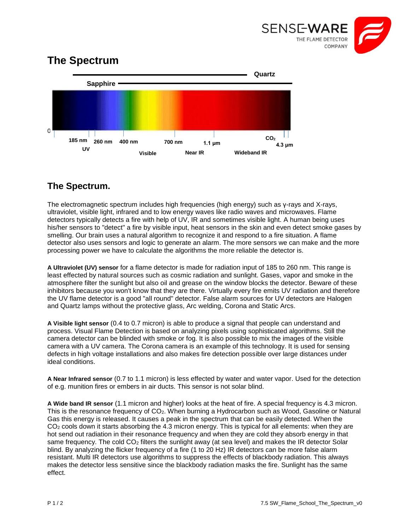

## **The Spectrum**



## **The Spectrum.**

The electromagnetic spectrum includes high frequencies (high energy) such as γ-rays and X-rays, ultraviolet, visible light, infrared and to low energy waves like radio waves and microwaves. Flame detectors typically detects a fire with help of UV, IR and sometimes visible light. A human being uses his/her sensors to "detect" a fire by visible input, heat sensors in the skin and even detect smoke gases by smelling. Our brain uses a natural algorithm to recognize it and respond to a fire situation. A flame detector also uses sensors and logic to generate an alarm. The more sensors we can make and the more processing power we have to calculate the algorithms the more reliable the detector is.

**A Ultraviolet (UV) sensor** for a flame detector is made for radiation input of 185 to 260 nm. This range is least effected by natural sources such as cosmic radiation and sunlight. Gases, vapor and smoke in the atmosphere filter the sunlight but also oil and grease on the window blocks the detector. Beware of these inhibitors because you won't know that they are there. Virtually every fire emits UV radiation and therefore the UV flame detector is a good "all round" detector. False alarm sources for UV detectors are Halogen and Quartz lamps without the protective glass, Arc welding, Corona and Static Arcs.

**A Visible light sensor** (0.4 to 0.7 micron) is able to produce a signal that people can understand and process. Visual Flame Detection is based on analyzing pixels using sophisticated algorithms. Still the camera detector can be blinded with smoke or fog. It is also possible to mix the images of the visible camera with a UV camera. The Corona camera is an example of this technology. It is used for sensing defects in high voltage installations and also makes fire detection possible over large distances under ideal conditions.

**A Near Infrared sensor** (0.7 to 1.1 micron) is less effected by water and water vapor. Used for the detection of e.g. munition fires or embers in air ducts. This sensor is not solar blind.

**A Wide band IR sensor** (1.1 micron and higher) looks at the heat of fire. A special frequency is 4.3 micron. This is the resonance frequency of CO2. When burning a Hydrocarbon such as Wood, Gasoline or Natural Gas this energy is released. It causes a peak in the spectrum that can be easily detected. When the CO<sub>2</sub> cools down it starts absorbing the 4.3 micron energy. This is typical for all elements: when they are hot send out radiation in their resonance frequency and when they are cold they absorb energy in that same frequency. The cold CO<sub>2</sub> filters the sunlight away (at sea level) and makes the IR detector Solar blind. By analyzing the flicker frequency of a fire (1 to 20 Hz) IR detectors can be more false alarm resistant. Multi IR detectors use algorithms to suppress the effects of blackbody radiation. This always makes the detector less sensitive since the blackbody radiation masks the fire. Sunlight has the same effect.